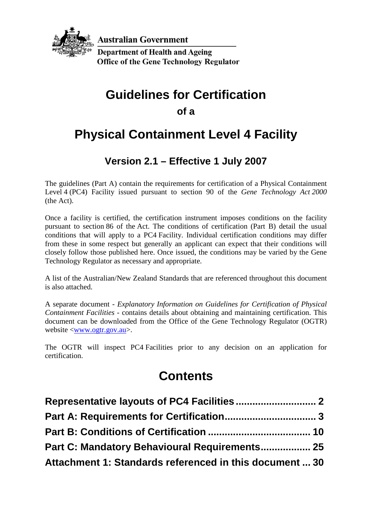

**Australian Government** 

**Department of Health and Ageing Office of the Gene Technology Regulator** 

# **Guidelines for Certification**

**of a**

# **Physical Containment Level 4 Facility**

## **Version 2.1 – Effective 1 July 2007**

The guidelines (Part A) contain the requirements for certification of a Physical Containment Level 4 (PC4) Facility issued pursuant to section 90 of the *Gene Technology Act 2000* (the Act).

Once a facility is certified, the certification instrument imposes conditions on the facility pursuant to section 86 of the Act. The conditions of certification (Part B) detail the usual conditions that will apply to a PC4 Facility. Individual certification conditions may differ from these in some respect but generally an applicant can expect that their conditions will closely follow those published here. Once issued, the conditions may be varied by the Gene Technology Regulator as necessary and appropriate.

A list of the Australian/New Zealand Standards that are referenced throughout this document is also attached.

A separate document - *Explanatory Information on Guidelines for Certification of Physical Containment Facilities* - contains details about obtaining and maintaining certification. This document can be downloaded from the Office of the Gene Technology Regulator (OGTR) website [<www.ogtr.gov.au>](http://www.ogtr.gov.au/).

The OGTR will inspect PC4 Facilities prior to any decision on an application for certification.

# **Contents**

| Part C: Mandatory Behavioural Requirements 25           |  |
|---------------------------------------------------------|--|
| Attachment 1: Standards referenced in this document  30 |  |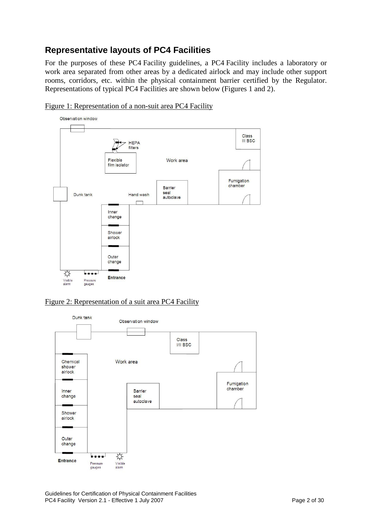#### <span id="page-1-0"></span>**Representative layouts of PC4 Facilities**

For the purposes of these PC4 Facility guidelines, a PC4 Facility includes a laboratory or work area separated from other areas by a dedicated airlock and may include other support rooms, corridors, etc. within the physical containment barrier certified by the Regulator. Representations of typical PC4 Facilities are shown below (Figures 1 and 2).



Figure 1: Representation of a non-suit area PC4 Facility

#### Figure 2: Representation of a suit area PC4 Facility



Guidelines for Certification of Physical Containment Facilities PC4 Facility Version 2.1 - Effective 1 July 2007 November 2008 2 of 30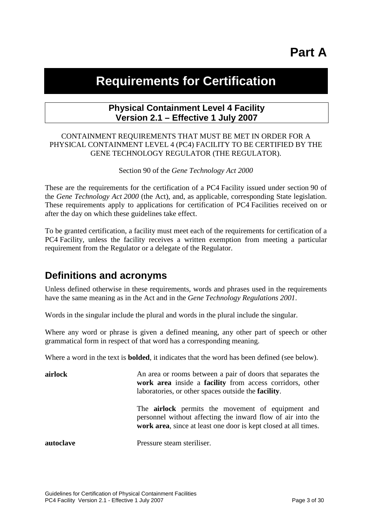# **Part A**

## <span id="page-2-0"></span>**Requirements for Certification**

#### **Physical Containment Level 4 Facility Version 2.1 – Effective 1 July 2007**

#### CONTAINMENT REQUIREMENTS THAT MUST BE MET IN ORDER FOR A PHYSICAL CONTAINMENT LEVEL 4 (PC4) FACILITY TO BE CERTIFIED BY THE GENE TECHNOLOGY REGULATOR (THE REGULATOR).

Section 90 of the *Gene Technology Act 2000*

These are the requirements for the certification of a PC4 Facility issued under section 90 of the *Gene Technology Act 2000* (the Act), and, as applicable, corresponding State legislation. These requirements apply to applications for certification of PC4 Facilities received on or after the day on which these guidelines take effect.

To be granted certification, a facility must meet each of the requirements for certification of a PC4 Facility, unless the facility receives a written exemption from meeting a particular requirement from the Regulator or a delegate of the Regulator.

### **Definitions and acronyms**

Unless defined otherwise in these requirements, words and phrases used in the requirements have the same meaning as in the Act and in the *Gene Technology Regulations 2001*.

Words in the singular include the plural and words in the plural include the singular.

Where any word or phrase is given a defined meaning, any other part of speech or other grammatical form in respect of that word has a corresponding meaning.

Where a word in the text is **bolded**, it indicates that the word has been defined (see below).

| airlock   | An area or rooms between a pair of doors that separates the<br>work area inside a facility from access corridors, other<br>laboratories, or other spaces outside the <b>facility</b> .     |
|-----------|--------------------------------------------------------------------------------------------------------------------------------------------------------------------------------------------|
|           | The <b>airlock</b> permits the movement of equipment and<br>personnel without affecting the inward flow of air into the<br>work area, since at least one door is kept closed at all times. |
| autoclave | Pressure steam steriliser.                                                                                                                                                                 |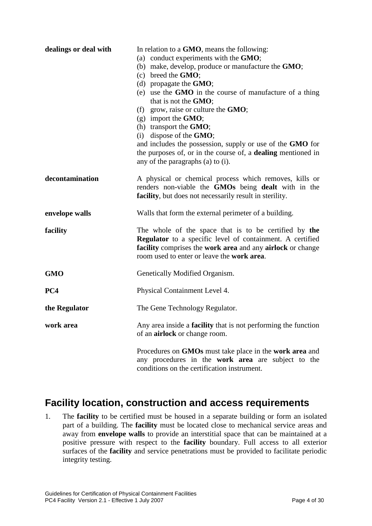| dealings or deal with | In relation to a GMO, means the following:<br>(a) conduct experiments with the GMO;<br>(b) make, develop, produce or manufacture the GMO;<br>$(c)$ breed the <b>GMO</b> ;<br>(d) propagate the $GMO$ ;<br>(e) use the GMO in the course of manufacture of a thing<br>that is not the GMO;<br>(f) grow, raise or culture the $GMO$ ;<br>$(g)$ import the <b>GMO</b> ;<br>(h) transport the $GMO$ ;<br>$(i)$ dispose of the <b>GMO</b> ;<br>and includes the possession, supply or use of the GMO for<br>the purposes of, or in the course of, a <b>dealing</b> mentioned in<br>any of the paragraphs (a) to (i). |
|-----------------------|-----------------------------------------------------------------------------------------------------------------------------------------------------------------------------------------------------------------------------------------------------------------------------------------------------------------------------------------------------------------------------------------------------------------------------------------------------------------------------------------------------------------------------------------------------------------------------------------------------------------|
| decontamination       | A physical or chemical process which removes, kills or<br>renders non-viable the GMOs being dealt with in the<br>facility, but does not necessarily result in sterility.                                                                                                                                                                                                                                                                                                                                                                                                                                        |
| envelope walls        | Walls that form the external perimeter of a building.                                                                                                                                                                                                                                                                                                                                                                                                                                                                                                                                                           |
| facility              | The whole of the space that is to be certified by the<br>Regulator to a specific level of containment. A certified<br>facility comprises the work area and any airlock or change<br>room used to enter or leave the <b>work area</b> .                                                                                                                                                                                                                                                                                                                                                                          |
| <b>GMO</b>            | Genetically Modified Organism.                                                                                                                                                                                                                                                                                                                                                                                                                                                                                                                                                                                  |
| PC4                   | Physical Containment Level 4.                                                                                                                                                                                                                                                                                                                                                                                                                                                                                                                                                                                   |
| the Regulator         | The Gene Technology Regulator.                                                                                                                                                                                                                                                                                                                                                                                                                                                                                                                                                                                  |
| work area             | Any area inside a <b>facility</b> that is not performing the function<br>of an <b>airlock</b> or change room.                                                                                                                                                                                                                                                                                                                                                                                                                                                                                                   |
|                       | Procedures on GMOs must take place in the work area and<br>any procedures in the work area are subject to the<br>conditions on the certification instrument.                                                                                                                                                                                                                                                                                                                                                                                                                                                    |

### **Facility location, construction and access requirements**

1. The **facility** to be certified must be housed in a separate building or form an isolated part of a building. The **facility** must be located close to mechanical service areas and away from **envelope walls** to provide an interstitial space that can be maintained at a positive pressure with respect to the **facility** boundary. Full access to all exterior surfaces of the **facility** and service penetrations must be provided to facilitate periodic integrity testing.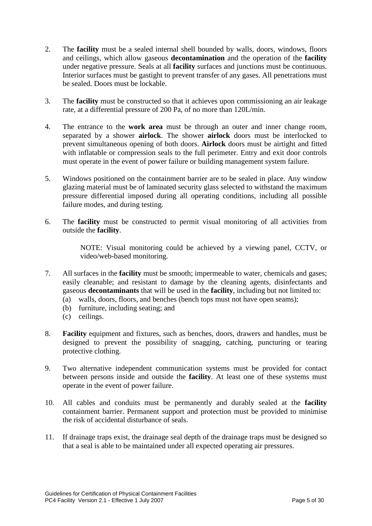- 2. The **facility** must be a sealed internal shell bounded by walls, doors, windows, floors and ceilings, which allow gaseous **decontamination** and the operation of the **facility** under negative pressure. Seals at all **facility** surfaces and junctions must be continuous. Interior surfaces must be gastight to prevent transfer of any gases. All penetrations must be sealed. Doors must be lockable.
- 3. The **facility** must be constructed so that it achieves upon commissioning an air leakage rate, at a differential pressure of 200 Pa, of no more than 120L/min.
- 4. The entrance to the **work area** must be through an outer and inner change room, separated by a shower **airlock**. The shower **airlock** doors must be interlocked to prevent simultaneous opening of both doors. **Airlock** doors must be airtight and fitted with inflatable or compression seals to the full perimeter. Entry and exit door controls must operate in the event of power failure or building management system failure.
- 5. Windows positioned on the containment barrier are to be sealed in place. Any window glazing material must be of laminated security glass selected to withstand the maximum pressure differential imposed during all operating conditions, including all possible failure modes, and during testing.
- 6. The **facility** must be constructed to permit visual monitoring of all activities from outside the **facility**.

NOTE: Visual monitoring could be achieved by a viewing panel, CCTV, or video/web-based monitoring.

- 7. All surfaces in the **facility** must be smooth; impermeable to water, chemicals and gases; easily cleanable; and resistant to damage by the cleaning agents, disinfectants and gaseous **decontaminants** that will be used in the **facility**, including but not limited to:
	- (a) walls, doors, floors, and benches (bench tops must not have open seams);
	- (b) furniture, including seating; and
	- (c) ceilings.
- 8. **Facility** equipment and fixtures, such as benches, doors, drawers and handles, must be designed to prevent the possibility of snagging, catching, puncturing or tearing protective clothing.
- 9. Two alternative independent communication systems must be provided for contact between persons inside and outside the **facility**. At least one of these systems must operate in the event of power failure.
- 10. All cables and conduits must be permanently and durably sealed at the **facility** containment barrier. Permanent support and protection must be provided to minimise the risk of accidental disturbance of seals.
- 11. If drainage traps exist, the drainage seal depth of the drainage traps must be designed so that a seal is able to be maintained under all expected operating air pressures.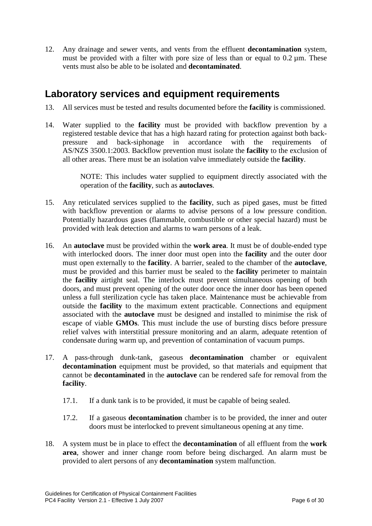12. Any drainage and sewer vents, and vents from the effluent **decontamination** system, must be provided with a filter with pore size of less than or equal to  $0.2 \mu m$ . These vents must also be able to be isolated and **decontaminated**.

### **Laboratory services and equipment requirements**

- 13. All services must be tested and results documented before the **facility** is commissioned.
- 14. Water supplied to the **facility** must be provided with backflow prevention by a registered testable device that has a high hazard rating for protection against both backpressure and back-siphonage in accordance with the requirements of AS/NZS 3500.1:2003. Backflow prevention must isolate the **facility** to the exclusion of all other areas. There must be an isolation valve immediately outside the **facility**.

NOTE: This includes water supplied to equipment directly associated with the operation of the **facility**, such as **autoclaves**.

- 15. Any reticulated services supplied to the **facility**, such as piped gases, must be fitted with backflow prevention or alarms to advise persons of a low pressure condition. Potentially hazardous gases (flammable, combustible or other special hazard) must be provided with leak detection and alarms to warn persons of a leak.
- 16. An **autoclave** must be provided within the **work area**. It must be of double-ended type with interlocked doors. The inner door must open into the **facility** and the outer door must open externally to the **facility**. A barrier, sealed to the chamber of the **autoclave**, must be provided and this barrier must be sealed to the **facility** perimeter to maintain the **facility** airtight seal. The interlock must prevent simultaneous opening of both doors, and must prevent opening of the outer door once the inner door has been opened unless a full sterilization cycle has taken place. Maintenance must be achievable from outside the **facility** to the maximum extent practicable. Connections and equipment associated with the **autoclave** must be designed and installed to minimise the risk of escape of viable **GMOs**. This must include the use of bursting discs before pressure relief valves with interstitial pressure monitoring and an alarm, adequate retention of condensate during warm up, and prevention of contamination of vacuum pumps.
- 17. A pass-through dunk-tank, gaseous **decontamination** chamber or equivalent **decontamination** equipment must be provided, so that materials and equipment that cannot be **decontaminated** in the **autoclave** can be rendered safe for removal from the **facility**.
	- 17.1. If a dunk tank is to be provided, it must be capable of being sealed.
	- 17.2. If a gaseous **decontamination** chamber is to be provided, the inner and outer doors must be interlocked to prevent simultaneous opening at any time.
- 18. A system must be in place to effect the **decontamination** of all effluent from the **work area**, shower and inner change room before being discharged. An alarm must be provided to alert persons of any **decontamination** system malfunction.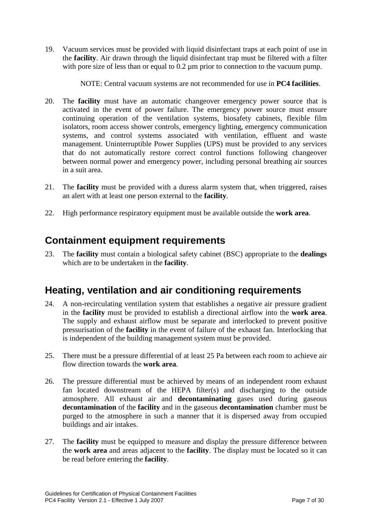19. Vacuum services must be provided with liquid disinfectant traps at each point of use in the **facility**. Air drawn through the liquid disinfectant trap must be filtered with a filter with pore size of less than or equal to 0.2 um prior to connection to the vacuum pump.

NOTE: Central vacuum systems are not recommended for use in **PC4 facilities**.

- <span id="page-6-0"></span>20. The **facility** must have an automatic changeover emergency power source that is activated in the event of power failure. The emergency power source must ensure continuing operation of the ventilation systems, biosafety cabinets, flexible film isolators, room access shower controls, emergency lighting, emergency communication systems, and control systems associated with ventilation, effluent and waste management. Uninterruptible Power Supplies (UPS) must be provided to any services that do not automatically restore correct control functions following changeover between normal power and emergency power, including personal breathing air sources in a suit area.
- 21. The **facility** must be provided with a duress alarm system that, when triggered, raises an alert with at least one person external to the **facility**.
- 22. High performance respiratory equipment must be available outside the **work area**.

## **Containment equipment requirements**

23. The **facility** must contain a biological safety cabinet (BSC) appropriate to the **dealings**  which are to be undertaken in the **facility**.

## **Heating, ventilation and air conditioning requirements**

- 24. A non-recirculating ventilation system that establishes a negative air pressure gradient in the **facility** must be provided to establish a directional airflow into the **work area**. The supply and exhaust airflow must be separate and interlocked to prevent positive pressurisation of the **facility** in the event of failure of the exhaust fan. Interlocking that is independent of the building management system must be provided.
- 25. There must be a pressure differential of at least 25 Pa between each room to achieve air flow direction towards the **work area**.
- 26. The pressure differential must be achieved by means of an independent room exhaust fan located downstream of the HEPA filter(s) and discharging to the outside atmosphere. All exhaust air and **decontaminating** gases used during gaseous **decontamination** of the **facility** and in the gaseous **decontamination** chamber must be purged to the atmosphere in such a manner that it is dispersed away from occupied buildings and air intakes.
- 27. The **facility** must be equipped to measure and display the pressure difference between the **work area** and areas adjacent to the **facility**. The display must be located so it can be read before entering the **facility**.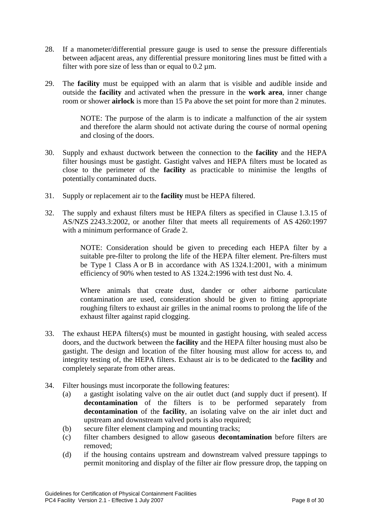- 28. If a manometer/differential pressure gauge is used to sense the pressure differentials between adjacent areas, any differential pressure monitoring lines must be fitted with a filter with pore size of less than or equal to  $0.2 \text{ µm}$ .
- 29. The **facility** must be equipped with an alarm that is visible and audible inside and outside the **facility** and activated when the pressure in the **work area**, inner change room or shower **airlock** is more than 15 Pa above the set point for more than 2 minutes.

NOTE: The purpose of the alarm is to indicate a malfunction of the air system and therefore the alarm should not activate during the course of normal opening and closing of the doors.

- 30. Supply and exhaust ductwork between the connection to the **facility** and the HEPA filter housings must be gastight. Gastight valves and HEPA filters must be located as close to the perimeter of the **facility** as practicable to minimise the lengths of potentially contaminated ducts.
- 31. Supply or replacement air to the **facility** must be HEPA filtered.
- 32. The supply and exhaust filters must be HEPA filters as specified in Clause 1.3.15 of AS/NZS 2243.3:2002, or another filter that meets all requirements of AS 4260:1997 with a minimum performance of Grade 2.

NOTE: Consideration should be given to preceding each HEPA filter by a suitable pre-filter to prolong the life of the HEPA filter element. Pre-filters must be Type 1 Class A or B in accordance with AS 1324.1:2001, with a minimum efficiency of 90% when tested to AS 1324.2:1996 with test dust No. 4.

Where animals that create dust, dander or other airborne particulate contamination are used, consideration should be given to fitting appropriate roughing filters to exhaust air grilles in the animal rooms to prolong the life of the exhaust filter against rapid clogging.

- 33. The exhaust HEPA filters(s) must be mounted in gastight housing, with sealed access doors, and the ductwork between the **facility** and the HEPA filter housing must also be gastight. The design and location of the filter housing must allow for access to, and integrity testing of, the HEPA filters. Exhaust air is to be dedicated to the **facility** and completely separate from other areas.
- 34. Filter housings must incorporate the following features:
	- (a) a gastight isolating valve on the air outlet duct (and supply duct if present). If **decontamination** of the filters is to be performed separately from **decontamination** of the **facility**, an isolating valve on the air inlet duct and upstream and downstream valved ports is also required;
	- (b) secure filter element clamping and mounting tracks;
	- (c) filter chambers designed to allow gaseous **decontamination** before filters are removed;
	- (d) if the housing contains upstream and downstream valved pressure tappings to permit monitoring and display of the filter air flow pressure drop, the tapping on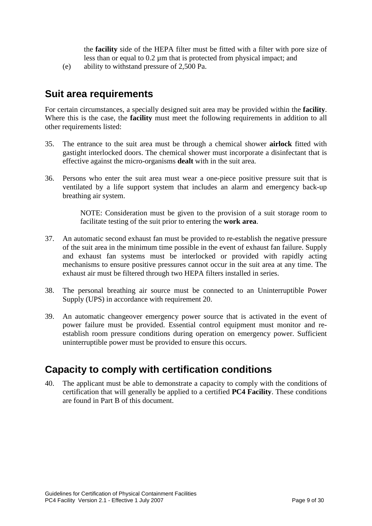the **facility** side of the HEPA filter must be fitted with a filter with pore size of less than or equal to 0.2 µm that is protected from physical impact; and

(e) ability to withstand pressure of 2,500 Pa.

### **Suit area requirements**

For certain circumstances, a specially designed suit area may be provided within the **facility**. Where this is the case, the **facility** must meet the following requirements in addition to all other requirements listed:

- 35. The entrance to the suit area must be through a chemical shower **airlock** fitted with gastight interlocked doors. The chemical shower must incorporate a disinfectant that is effective against the micro-organisms **dealt** with in the suit area.
- 36. Persons who enter the suit area must wear a one-piece positive pressure suit that is ventilated by a life support system that includes an alarm and emergency back-up breathing air system.

NOTE: Consideration must be given to the provision of a suit storage room to facilitate testing of the suit prior to entering the **work area**.

- 37. An automatic second exhaust fan must be provided to re-establish the negative pressure of the suit area in the minimum time possible in the event of exhaust fan failure. Supply and exhaust fan systems must be interlocked or provided with rapidly acting mechanisms to ensure positive pressures cannot occur in the suit area at any time. The exhaust air must be filtered through two HEPA filters installed in series.
- 38. The personal breathing air source must be connected to an Uninterruptible Power Supply (UPS) in accordance with requirement [20.](#page-6-0)
- 39. An automatic changeover emergency power source that is activated in the event of power failure must be provided. Essential control equipment must monitor and reestablish room pressure conditions during operation on emergency power. Sufficient uninterruptible power must be provided to ensure this occurs.

## **Capacity to comply with certification conditions**

40. The applicant must be able to demonstrate a capacity to comply with the conditions of certification that will generally be applied to a certified **PC4 Facility**. These conditions are found in Part B of this document.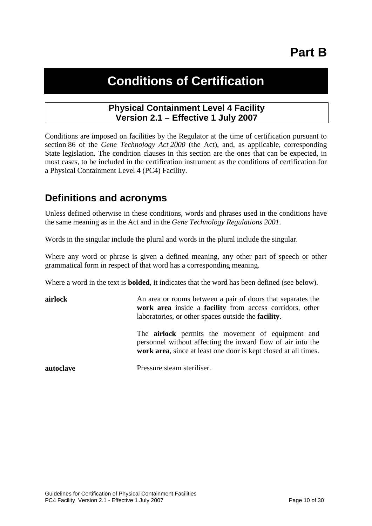# **Part B**

# **Conditions of Certification**

#### **Physical Containment Level 4 Facility Version 2.1 – Effective 1 July 2007**

<span id="page-9-0"></span>Conditions are imposed on facilities by the Regulator at the time of certification pursuant to section 86 of the *Gene Technology Act 2000* (the Act), and, as applicable, corresponding State legislation. The condition clauses in this section are the ones that can be expected, in most cases, to be included in the certification instrument as the conditions of certification for a Physical Containment Level 4 (PC4) Facility.

### **Definitions and acronyms**

Unless defined otherwise in these conditions, words and phrases used in the conditions have the same meaning as in the Act and in the *Gene Technology Regulations 2001*.

Words in the singular include the plural and words in the plural include the singular.

Where any word or phrase is given a defined meaning, any other part of speech or other grammatical form in respect of that word has a corresponding meaning.

Where a word in the text is **bolded**, it indicates that the word has been defined (see below).

| airlock   | An area or rooms between a pair of doors that separates the<br>work area inside a facility from access corridors, other<br>laboratories, or other spaces outside the <b>facility</b> .     |
|-----------|--------------------------------------------------------------------------------------------------------------------------------------------------------------------------------------------|
|           | The <b>airlock</b> permits the movement of equipment and<br>personnel without affecting the inward flow of air into the<br>work area, since at least one door is kept closed at all times. |
| autoclave | Pressure steam steriliser.                                                                                                                                                                 |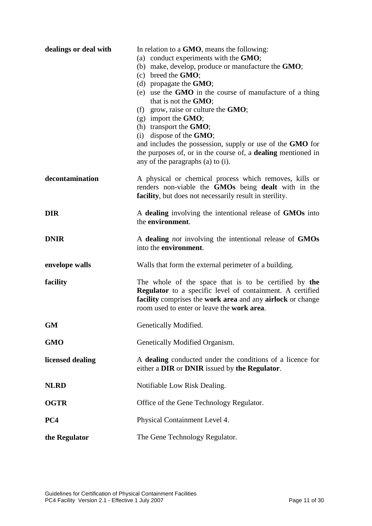| dealings or deal with | In relation to a <b>GMO</b> , means the following:<br>(a) conduct experiments with the GMO;<br>(b) make, develop, produce or manufacture the <b>GMO</b> ;<br>$(c)$ breed the <b>GMO</b> ;<br>(d) propagate the $GMO$ ;<br>(e) use the GMO in the course of manufacture of a thing<br>that is not the GMO;<br>(f) grow, raise or culture the $GMO$ ;<br>$(g)$ import the <b>GMO</b> ;<br>(h) transport the $GMO$ ;<br>(i) dispose of the $GMO$ ;<br>and includes the possession, supply or use of the GMO for<br>the purposes of, or in the course of, a dealing mentioned in<br>any of the paragraphs (a) to (i). |
|-----------------------|-------------------------------------------------------------------------------------------------------------------------------------------------------------------------------------------------------------------------------------------------------------------------------------------------------------------------------------------------------------------------------------------------------------------------------------------------------------------------------------------------------------------------------------------------------------------------------------------------------------------|
| decontamination       | A physical or chemical process which removes, kills or<br>renders non-viable the GMOs being dealt with in the<br>facility, but does not necessarily result in sterility.                                                                                                                                                                                                                                                                                                                                                                                                                                          |
| <b>DIR</b>            | A dealing involving the intentional release of GMOs into<br>the environment.                                                                                                                                                                                                                                                                                                                                                                                                                                                                                                                                      |
| <b>DNIR</b>           | A dealing <i>not</i> involving the intentional release of GMOs<br>into the <b>environment</b> .                                                                                                                                                                                                                                                                                                                                                                                                                                                                                                                   |
| envelope walls        | Walls that form the external perimeter of a building.                                                                                                                                                                                                                                                                                                                                                                                                                                                                                                                                                             |
| facility              | The whole of the space that is to be certified by the<br><b>Regulator</b> to a specific level of containment. A certified<br>facility comprises the work area and any airlock or change<br>room used to enter or leave the work area.                                                                                                                                                                                                                                                                                                                                                                             |
| <b>GM</b>             | Genetically Modified.                                                                                                                                                                                                                                                                                                                                                                                                                                                                                                                                                                                             |
| <b>GMO</b>            | Genetically Modified Organism.                                                                                                                                                                                                                                                                                                                                                                                                                                                                                                                                                                                    |
| licensed dealing      | A dealing conducted under the conditions of a licence for<br>either a DIR or DNIR issued by the Regulator.                                                                                                                                                                                                                                                                                                                                                                                                                                                                                                        |
| <b>NLRD</b>           | Notifiable Low Risk Dealing.                                                                                                                                                                                                                                                                                                                                                                                                                                                                                                                                                                                      |
| <b>OGTR</b>           | Office of the Gene Technology Regulator.                                                                                                                                                                                                                                                                                                                                                                                                                                                                                                                                                                          |
| PC4                   | Physical Containment Level 4.                                                                                                                                                                                                                                                                                                                                                                                                                                                                                                                                                                                     |
| the Regulator         | The Gene Technology Regulator.                                                                                                                                                                                                                                                                                                                                                                                                                                                                                                                                                                                    |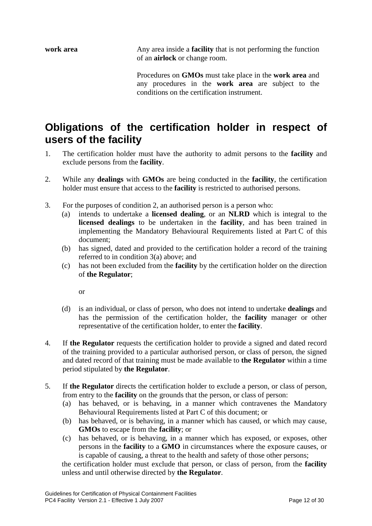**work area** Any area inside a **facility** that is not performing the function of an **airlock** or change room.

> Procedures on **GMOs** must take place in the **work area** and any procedures in the **work area** are subject to the conditions on the certification instrument.

## **Obligations of the certification holder in respect of users of the facility**

- 1. The certification holder must have the authority to admit persons to the **facility** and exclude persons from the **facility**.
- <span id="page-11-0"></span>2. While any **dealings** with **GMOs** are being conducted in the **facility**, the certification holder must ensure that access to the **facility** is restricted to authorised persons.
- <span id="page-11-1"></span>3. For the purposes of condition [2,](#page-11-0) an authorised person is a person who:
	- (a) intends to undertake a **licensed dealing**, or an **NLRD** which is integral to the **licensed dealings** to be undertaken in the **facility**, and has been trained in implementing the Mandatory Behavioural Requirements listed at Part C of this document;
	- (b) has signed, dated and provided to the certification holder a record of the training referred to in condition [3\(](#page-11-1)a) above; and
	- (c) has not been excluded from the **facility** by the certification holder on the direction of **the Regulator**;

or

- (d) is an individual, or class of person, who does not intend to undertake **dealings** and has the permission of the certification holder, the **facility** manager or other representative of the certification holder, to enter the **facility**.
- 4. If **the Regulator** requests the certification holder to provide a signed and dated record of the training provided to a particular authorised person, or class of person, the signed and dated record of that training must be made available to **the Regulator** within a time period stipulated by **the Regulator**.
- 5. If **the Regulator** directs the certification holder to exclude a person, or class of person, from entry to the **facility** on the grounds that the person, or class of person:
	- (a) has behaved, or is behaving, in a manner which contravenes the Mandatory Behavioural Requirements listed at Part C of this document; or
	- (b) has behaved, or is behaving, in a manner which has caused, or which may cause, **GMOs** to escape from the **facility**; or
	- (c) has behaved, or is behaving, in a manner which has exposed, or exposes, other persons in the **facility** to a **GMO** in circumstances where the exposure causes, or is capable of causing, a threat to the health and safety of those other persons;

the certification holder must exclude that person, or class of person, from the **facility** unless and until otherwise directed by **the Regulator**.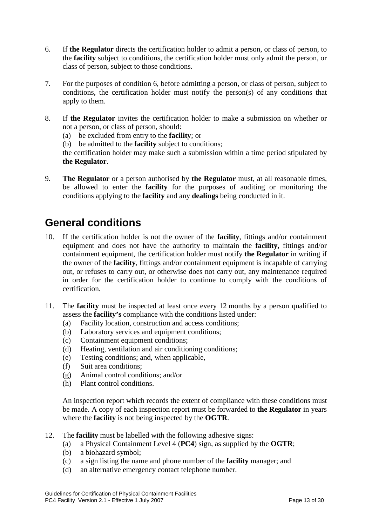- <span id="page-12-0"></span>6. If **the Regulator** directs the certification holder to admit a person, or class of person, to the **facility** subject to conditions, the certification holder must only admit the person, or class of person, subject to those conditions.
- 7. For the purposes of condition [6,](#page-12-0) before admitting a person, or class of person, subject to conditions, the certification holder must notify the person(s) of any conditions that apply to them.
- 8. If **the Regulator** invites the certification holder to make a submission on whether or not a person, or class of person, should:
	- (a) be excluded from entry to the **facility**; or
	- (b) be admitted to the **facility** subject to conditions;

the certification holder may make such a submission within a time period stipulated by **the Regulator**.

9. **The Regulator** or a person authorised by **the Regulator** must, at all reasonable times, be allowed to enter the **facility** for the purposes of auditing or monitoring the conditions applying to the **facility** and any **dealings** being conducted in it.

## **General conditions**

- 10. If the certification holder is not the owner of the **facility**, fittings and/or containment equipment and does not have the authority to maintain the **facility,** fittings and/or containment equipment, the certification holder must notify **the Regulator** in writing if the owner of the **facility**, fittings and/or containment equipment is incapable of carrying out, or refuses to carry out, or otherwise does not carry out, any maintenance required in order for the certification holder to continue to comply with the conditions of certification.
- 11. The **facility** must be inspected at least once every 12 months by a person qualified to assess the **facility's** compliance with the conditions listed under:
	- (a) Facility location, construction and access conditions;
	- (b) Laboratory services and equipment conditions;
	- (c) Containment equipment conditions;
	- (d) Heating, ventilation and air conditioning conditions;
	- (e) Testing conditions; and, when applicable,
	- (f) Suit area conditions;
	- (g) Animal control conditions; and/or
	- (h) Plant control conditions.

An inspection report which records the extent of compliance with these conditions must be made. A copy of each inspection report must be forwarded to **the Regulator** in years where the **facility** is not being inspected by the **OGTR**.

- 12. The **facility** must be labelled with the following adhesive signs:
	- (a) a Physical Containment Level 4 (**PC4**) sign, as supplied by the **OGTR**;
	- (b) a biohazard symbol;
	- (c) a sign listing the name and phone number of the **facility** manager; and
	- (d) an alternative emergency contact telephone number.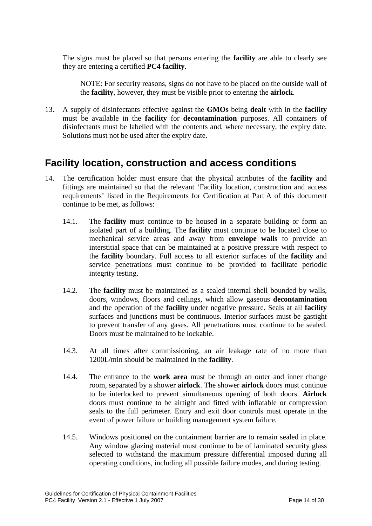The signs must be placed so that persons entering the **facility** are able to clearly see they are entering a certified **PC4 facility**.

NOTE: For security reasons, signs do not have to be placed on the outside wall of the **facility**, however, they must be visible prior to entering the **airlock**.

13. A supply of disinfectants effective against the **GMOs** being **dealt** with in the **facility** must be available in the **facility** for **decontamination** purposes. All containers of disinfectants must be labelled with the contents and, where necessary, the expiry date. Solutions must not be used after the expiry date.

#### **Facility location, construction and access conditions**

- 14. The certification holder must ensure that the physical attributes of the **facility** and fittings are maintained so that the relevant 'Facility location, construction and access requirements' listed in the Requirements for Certification at Part A of this document continue to be met, as follows:
	- 14.1. The **facility** must continue to be housed in a separate building or form an isolated part of a building. The **facility** must continue to be located close to mechanical service areas and away from **envelope walls** to provide an interstitial space that can be maintained at a positive pressure with respect to the **facility** boundary. Full access to all exterior surfaces of the **facility** and service penetrations must continue to be provided to facilitate periodic integrity testing.
	- 14.2. The **facility** must be maintained as a sealed internal shell bounded by walls, doors, windows, floors and ceilings, which allow gaseous **decontamination** and the operation of the **facility** under negative pressure. Seals at all **facility** surfaces and junctions must be continuous. Interior surfaces must be gastight to prevent transfer of any gases. All penetrations must continue to be sealed. Doors must be maintained to be lockable.
	- 14.3. At all times after commissioning, an air leakage rate of no more than 1200L/min should be maintained in the **facility**.
	- 14.4. The entrance to the **work area** must be through an outer and inner change room, separated by a shower **airlock**. The shower **airlock** doors must continue to be interlocked to prevent simultaneous opening of both doors. **Airlock** doors must continue to be airtight and fitted with inflatable or compression seals to the full perimeter. Entry and exit door controls must operate in the event of power failure or building management system failure.
	- 14.5. Windows positioned on the containment barrier are to remain sealed in place. Any window glazing material must continue to be of laminated security glass selected to withstand the maximum pressure differential imposed during all operating conditions, including all possible failure modes, and during testing.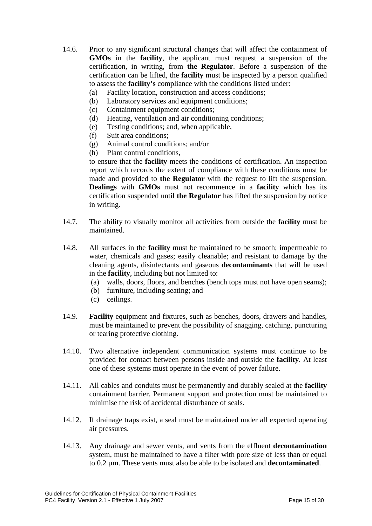- 14.6. Prior to any significant structural changes that will affect the containment of **GMOs** in the **facility**, the applicant must request a suspension of the certification, in writing, from **the Regulator**. Before a suspension of the certification can be lifted, the **facility** must be inspected by a person qualified to assess the **facility's** compliance with the conditions listed under:
	- (a) Facility location, construction and access conditions;
	- (b) Laboratory services and equipment conditions;
	- (c) Containment equipment conditions;
	- (d) Heating, ventilation and air conditioning conditions;
	- (e) Testing conditions; and, when applicable,
	- (f) Suit area conditions;
	- (g) Animal control conditions; and/or
	- (h) Plant control conditions,

to ensure that the **facility** meets the conditions of certification. An inspection report which records the extent of compliance with these conditions must be made and provided to **the Regulator** with the request to lift the suspension. **Dealings** with **GMOs** must not recommence in a **facility** which has its certification suspended until **the Regulator** has lifted the suspension by notice in writing.

- 14.7. The ability to visually monitor all activities from outside the **facility** must be maintained.
- 14.8. All surfaces in the **facility** must be maintained to be smooth; impermeable to water, chemicals and gases; easily cleanable; and resistant to damage by the cleaning agents, disinfectants and gaseous **decontaminants** that will be used in the **facility**, including but not limited to:
	- (a) walls, doors, floors, and benches (bench tops must not have open seams);
	- (b) furniture, including seating; and
	- (c) ceilings.
- 14.9. **Facility** equipment and fixtures, such as benches, doors, drawers and handles, must be maintained to prevent the possibility of snagging, catching, puncturing or tearing protective clothing.
- 14.10. Two alternative independent communication systems must continue to be provided for contact between persons inside and outside the **facility**. At least one of these systems must operate in the event of power failure.
- 14.11. All cables and conduits must be permanently and durably sealed at the **facility** containment barrier. Permanent support and protection must be maintained to minimise the risk of accidental disturbance of seals.
- 14.12. If drainage traps exist, a seal must be maintained under all expected operating air pressures.
- 14.13. Any drainage and sewer vents, and vents from the effluent **decontamination** system, must be maintained to have a filter with pore size of less than or equal to 0.2 µm. These vents must also be able to be isolated and **decontaminated**.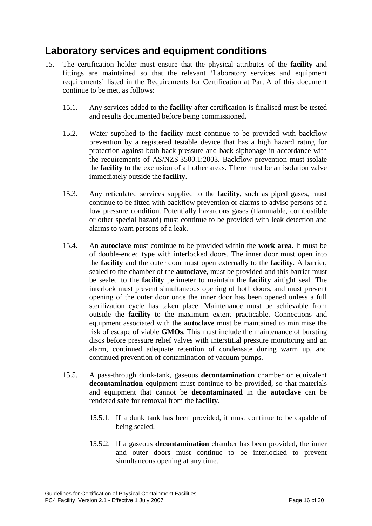### **Laboratory services and equipment conditions**

- 15. The certification holder must ensure that the physical attributes of the **facility** and fittings are maintained so that the relevant 'Laboratory services and equipment requirements' listed in the Requirements for Certification at Part A of this document continue to be met, as follows:
	- 15.1. Any services added to the **facility** after certification is finalised must be tested and results documented before being commissioned.
	- 15.2. Water supplied to the **facility** must continue to be provided with backflow prevention by a registered testable device that has a high hazard rating for protection against both back-pressure and back-siphonage in accordance with the requirements of AS/NZS 3500.1:2003. Backflow prevention must isolate the **facility** to the exclusion of all other areas. There must be an isolation valve immediately outside the **facility**.
	- 15.3. Any reticulated services supplied to the **facility**, such as piped gases, must continue to be fitted with backflow prevention or alarms to advise persons of a low pressure condition. Potentially hazardous gases (flammable, combustible or other special hazard) must continue to be provided with leak detection and alarms to warn persons of a leak.
	- 15.4. An **autoclave** must continue to be provided within the **work area**. It must be of double-ended type with interlocked doors. The inner door must open into the **facility** and the outer door must open externally to the **facility**. A barrier, sealed to the chamber of the **autoclave**, must be provided and this barrier must be sealed to the **facility** perimeter to maintain the **facility** airtight seal. The interlock must prevent simultaneous opening of both doors, and must prevent opening of the outer door once the inner door has been opened unless a full sterilization cycle has taken place. Maintenance must be achievable from outside the **facility** to the maximum extent practicable. Connections and equipment associated with the **autoclave** must be maintained to minimise the risk of escape of viable **GMOs**. This must include the maintenance of bursting discs before pressure relief valves with interstitial pressure monitoring and an alarm, continued adequate retention of condensate during warm up, and continued prevention of contamination of vacuum pumps.
	- 15.5. A pass-through dunk-tank, gaseous **decontamination** chamber or equivalent **decontamination** equipment must continue to be provided, so that materials and equipment that cannot be **decontaminated** in the **autoclave** can be rendered safe for removal from the **facility**.
		- 15.5.1. If a dunk tank has been provided, it must continue to be capable of being sealed.
		- 15.5.2. If a gaseous **decontamination** chamber has been provided, the inner and outer doors must continue to be interlocked to prevent simultaneous opening at any time.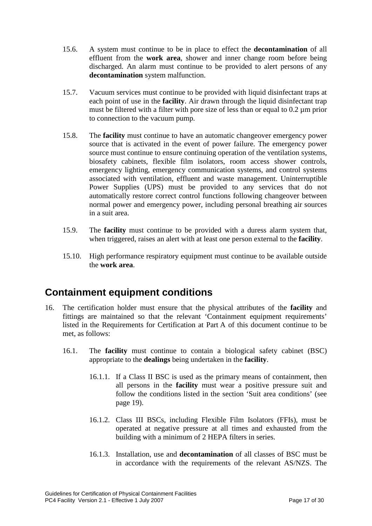- 15.6. A system must continue to be in place to effect the **decontamination** of all effluent from the **work area**, shower and inner change room before being discharged. An alarm must continue to be provided to alert persons of any **decontamination** system malfunction.
- 15.7. Vacuum services must continue to be provided with liquid disinfectant traps at each point of use in the **facility**. Air drawn through the liquid disinfectant trap must be filtered with a filter with pore size of less than or equal to 0.2 µm prior to connection to the vacuum pump.
- <span id="page-16-0"></span>15.8. The **facility** must continue to have an automatic changeover emergency power source that is activated in the event of power failure. The emergency power source must continue to ensure continuing operation of the ventilation systems, biosafety cabinets, flexible film isolators, room access shower controls, emergency lighting, emergency communication systems, and control systems associated with ventilation, effluent and waste management. Uninterruptible Power Supplies (UPS) must be provided to any services that do not automatically restore correct control functions following changeover between normal power and emergency power, including personal breathing air sources in a suit area.
- 15.9. The **facility** must continue to be provided with a duress alarm system that, when triggered, raises an alert with at least one person external to the **facility**.
- 15.10. High performance respiratory equipment must continue to be available outside the **work area**.

### **Containment equipment conditions**

- 16. The certification holder must ensure that the physical attributes of the **facility** and fittings are maintained so that the relevant 'Containment equipment requirements' listed in the Requirements for Certification at Part A of this document continue to be met, as follows:
	- 16.1. The **facility** must continue to contain a biological safety cabinet (BSC) appropriate to the **dealings** being undertaken in the **facility**.
		- 16.1.1. If a Class II BSC is used as the primary means of containment, then all persons in the **facility** must wear a positive pressure suit and follow the conditions listed in the section 'Suit area conditions' (see page [19\)](#page-18-0).
		- 16.1.2. Class III BSCs, including Flexible Film Isolators (FFIs), must be operated at negative pressure at all times and exhausted from the building with a minimum of 2 HEPA filters in series.
		- 16.1.3. Installation, use and **decontamination** of all classes of BSC must be in accordance with the requirements of the relevant AS/NZS. The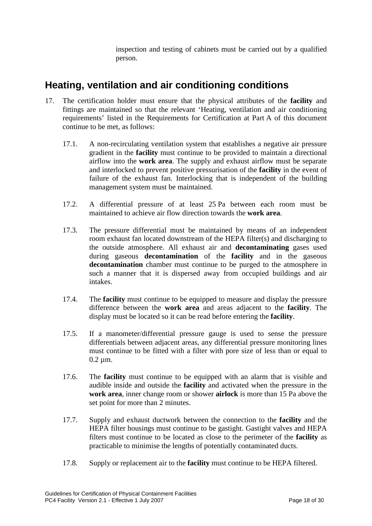inspection and testing of cabinets must be carried out by a qualified person.

### **Heating, ventilation and air conditioning conditions**

- <span id="page-17-1"></span><span id="page-17-0"></span>17. The certification holder must ensure that the physical attributes of the **facility** and fittings are maintained so that the relevant 'Heating, ventilation and air conditioning requirements' listed in the Requirements for Certification at Part A of this document continue to be met, as follows:
	- 17.1. A non-recirculating ventilation system that establishes a negative air pressure gradient in the **facility** must continue to be provided to maintain a directional airflow into the **work area**. The supply and exhaust airflow must be separate and interlocked to prevent positive pressurisation of the **facility** in the event of failure of the exhaust fan. Interlocking that is independent of the building management system must be maintained.
	- 17.2. A differential pressure of at least 25 Pa between each room must be maintained to achieve air flow direction towards the **work area**.
	- 17.3. The pressure differential must be maintained by means of an independent room exhaust fan located downstream of the HEPA filter(s) and discharging to the outside atmosphere. All exhaust air and **decontaminating** gases used during gaseous **decontamination** of the **facility** and in the gaseous **decontamination** chamber must continue to be purged to the atmosphere in such a manner that it is dispersed away from occupied buildings and air intakes.
	- 17.4. The **facility** must continue to be equipped to measure and display the pressure difference between the **work area** and areas adjacent to the **facility**. The display must be located so it can be read before entering the **facility**.
	- 17.5. If a manometer/differential pressure gauge is used to sense the pressure differentials between adjacent areas, any differential pressure monitoring lines must continue to be fitted with a filter with pore size of less than or equal to  $0.2 \mu m$ .
	- 17.6. The **facility** must continue to be equipped with an alarm that is visible and audible inside and outside the **facility** and activated when the pressure in the **work area**, inner change room or shower **airlock** is more than 15 Pa above the set point for more than 2 minutes.
	- 17.7. Supply and exhaust ductwork between the connection to the **facility** and the HEPA filter housings must continue to be gastight. Gastight valves and HEPA filters must continue to be located as close to the perimeter of the **facility** as practicable to minimise the lengths of potentially contaminated ducts.
	- 17.8. Supply or replacement air to the **facility** must continue to be HEPA filtered.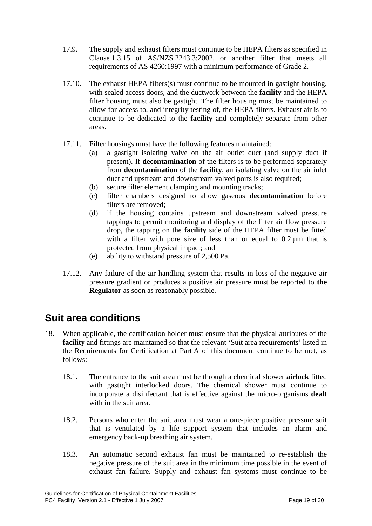- 17.9. The supply and exhaust filters must continue to be HEPA filters as specified in Clause 1.3.15 of AS/NZS 2243.3:2002, or another filter that meets all requirements of AS 4260:1997 with a minimum performance of Grade 2.
- 17.10. The exhaust HEPA filters(s) must continue to be mounted in gastight housing, with sealed access doors, and the ductwork between the **facility** and the HEPA filter housing must also be gastight. The filter housing must be maintained to allow for access to, and integrity testing of, the HEPA filters. Exhaust air is to continue to be dedicated to the **facility** and completely separate from other areas.
- 17.11. Filter housings must have the following features maintained:
	- (a) a gastight isolating valve on the air outlet duct (and supply duct if present). If **decontamination** of the filters is to be performed separately from **decontamination** of the **facility**, an isolating valve on the air inlet duct and upstream and downstream valved ports is also required;
	- (b) secure filter element clamping and mounting tracks;
	- (c) filter chambers designed to allow gaseous **decontamination** before filters are removed;
	- (d) if the housing contains upstream and downstream valved pressure tappings to permit monitoring and display of the filter air flow pressure drop, the tapping on the **facility** side of the HEPA filter must be fitted with a filter with pore size of less than or equal to  $0.2 \mu m$  that is protected from physical impact; and
	- (e) ability to withstand pressure of 2,500 Pa.
- 17.12. Any failure of the air handling system that results in loss of the negative air pressure gradient or produces a positive air pressure must be reported to **the Regulator** as soon as reasonably possible.

### <span id="page-18-0"></span>**Suit area conditions**

- 18. When applicable, the certification holder must ensure that the physical attributes of the **facility** and fittings are maintained so that the relevant 'Suit area requirements' listed in the Requirements for Certification at Part A of this document continue to be met, as follows:
	- 18.1. The entrance to the suit area must be through a chemical shower **airlock** fitted with gastight interlocked doors. The chemical shower must continue to incorporate a disinfectant that is effective against the micro-organisms **dealt**  with in the suit area.
	- 18.2. Persons who enter the suit area must wear a one-piece positive pressure suit that is ventilated by a life support system that includes an alarm and emergency back-up breathing air system.
	- 18.3. An automatic second exhaust fan must be maintained to re-establish the negative pressure of the suit area in the minimum time possible in the event of exhaust fan failure. Supply and exhaust fan systems must continue to be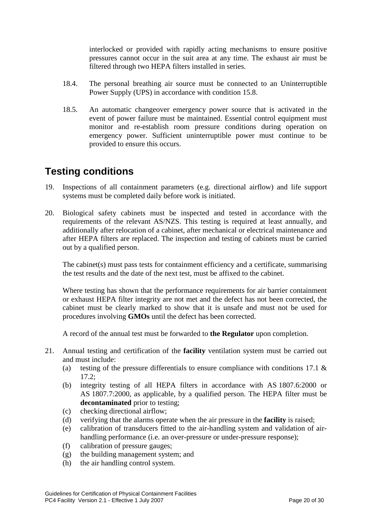interlocked or provided with rapidly acting mechanisms to ensure positive pressures cannot occur in the suit area at any time. The exhaust air must be filtered through two HEPA filters installed in series.

- 18.4. The personal breathing air source must be connected to an Uninterruptible Power Supply (UPS) in accordance with condition [15.8.](#page-16-0)
- 18.5. An automatic changeover emergency power source that is activated in the event of power failure must be maintained. Essential control equipment must monitor and re-establish room pressure conditions during operation on emergency power. Sufficient uninterruptible power must continue to be provided to ensure this occurs.

### **Testing conditions**

- 19. Inspections of all containment parameters (e.g. directional airflow) and life support systems must be completed daily before work is initiated.
- 20. Biological safety cabinets must be inspected and tested in accordance with the requirements of the relevant AS/NZS. This testing is required at least annually, and additionally after relocation of a cabinet, after mechanical or electrical maintenance and after HEPA filters are replaced. The inspection and testing of cabinets must be carried out by a qualified person.

The cabinet(s) must pass tests for containment efficiency and a certificate, summarising the test results and the date of the next test, must be affixed to the cabinet.

Where testing has shown that the performance requirements for air barrier containment or exhaust HEPA filter integrity are not met and the defect has not been corrected, the cabinet must be clearly marked to show that it is unsafe and must not be used for procedures involving **GMOs** until the defect has been corrected.

A record of the annual test must be forwarded to **the Regulator** upon completion.

- 21. Annual testing and certification of the **facility** ventilation system must be carried out and must include:
	- (a) testing of the pressure differentials to ensure compliance with conditions [17.1](#page-17-0)  $\&$ [17.2;](#page-17-1)
	- (b) integrity testing of all HEPA filters in accordance with AS 1807.6:2000 or AS 1807.7:2000, as applicable, by a qualified person. The HEPA filter must be **decontaminated** prior to testing;
	- (c) checking directional airflow;
	- (d) verifying that the alarms operate when the air pressure in the **facility** is raised;
	- (e) calibration of transducers fitted to the air-handling system and validation of airhandling performance (i.e. an over-pressure or under-pressure response);
	- (f) calibration of pressure gauges;
	- (g) the building management system; and
	- (h) the air handling control system.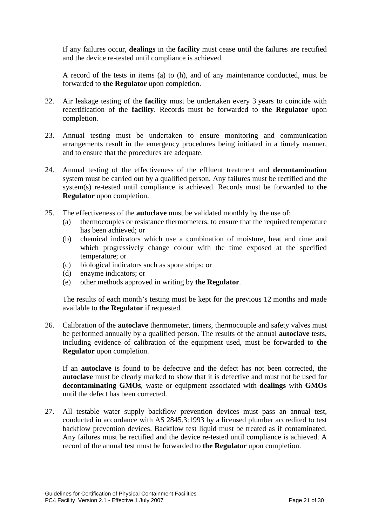If any failures occur, **dealings** in the **facility** must cease until the failures are rectified and the device re-tested until compliance is achieved.

A record of the tests in items (a) to (h), and of any maintenance conducted, must be forwarded to **the Regulator** upon completion.

- 22. Air leakage testing of the **facility** must be undertaken every 3 years to coincide with recertification of the **facility**. Records must be forwarded to **the Regulator** upon completion.
- 23. Annual testing must be undertaken to ensure monitoring and communication arrangements result in the emergency procedures being initiated in a timely manner, and to ensure that the procedures are adequate.
- 24. Annual testing of the effectiveness of the effluent treatment and **decontamination** system must be carried out by a qualified person. Any failures must be rectified and the system(s) re-tested until compliance is achieved. Records must be forwarded to **the Regulator** upon completion.
- 25. The effectiveness of the **autoclave** must be validated monthly by the use of:
	- (a) thermocouples or resistance thermometers, to ensure that the required temperature has been achieved; or
	- (b) chemical indicators which use a combination of moisture, heat and time and which progressively change colour with the time exposed at the specified temperature; or
	- (c) biological indicators such as spore strips; or
	- (d) enzyme indicators; or
	- (e) other methods approved in writing by **the Regulator**.

The results of each month's testing must be kept for the previous 12 months and made available to **the Regulator** if requested.

26. Calibration of the **autoclave** thermometer, timers, thermocouple and safety valves must be performed annually by a qualified person. The results of the annual **autoclave** tests, including evidence of calibration of the equipment used, must be forwarded to **the Regulator** upon completion.

If an **autoclave** is found to be defective and the defect has not been corrected, the **autoclave** must be clearly marked to show that it is defective and must not be used for **decontaminating GMOs**, waste or equipment associated with **dealings** with **GMOs** until the defect has been corrected.

27. All testable water supply backflow prevention devices must pass an annual test, conducted in accordance with AS 2845.3:1993 by a licensed plumber accredited to test backflow prevention devices. Backflow test liquid must be treated as if contaminated. Any failures must be rectified and the device re-tested until compliance is achieved. A record of the annual test must be forwarded to **the Regulator** upon completion.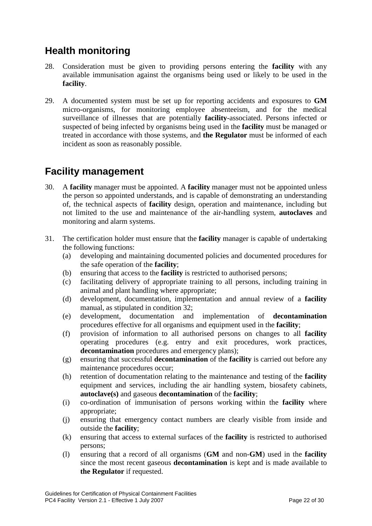## **Health monitoring**

- 28. Consideration must be given to providing persons entering the **facility** with any available immunisation against the organisms being used or likely to be used in the **facility**.
- 29. A documented system must be set up for reporting accidents and exposures to **GM** micro-organisms, for monitoring employee absenteeism, and for the medical surveillance of illnesses that are potentially **facility**-associated. Persons infected or suspected of being infected by organisms being used in the **facility** must be managed or treated in accordance with those systems, and **the Regulator** must be informed of each incident as soon as reasonably possible.

### **Facility management**

- 30. A **facility** manager must be appointed. A **facility** manager must not be appointed unless the person so appointed understands, and is capable of demonstrating an understanding of, the technical aspects of **facility** design, operation and maintenance, including but not limited to the use and maintenance of the air-handling system, **autoclaves** and monitoring and alarm systems.
- 31. The certification holder must ensure that the **facility** manager is capable of undertaking the following functions:
	- (a) developing and maintaining documented policies and documented procedures for the safe operation of the **facility**;
	- (b) ensuring that access to the **facility** is restricted to authorised persons;
	- (c) facilitating delivery of appropriate training to all persons, including training in animal and plant handling where appropriate;
	- (d) development, documentation, implementation and annual review of a **facility** manual, as stipulated in condition [32;](#page-22-0)
	- (e) development, documentation and implementation of **decontamination** procedures effective for all organisms and equipment used in the **facility**;
	- (f) provision of information to all authorised persons on changes to all **facility** operating procedures (e.g. entry and exit procedures, work practices, **decontamination** procedures and emergency plans);
	- (g) ensuring that successful **decontamination** of the **facility** is carried out before any maintenance procedures occur;
	- (h) retention of documentation relating to the maintenance and testing of the **facility** equipment and services, including the air handling system, biosafety cabinets, **autoclave(s)** and gaseous **decontamination** of the **facility**;
	- (i) co-ordination of immunisation of persons working within the **facility** where appropriate;
	- (j) ensuring that emergency contact numbers are clearly visible from inside and outside the **facility**;
	- (k) ensuring that access to external surfaces of the **facility** is restricted to authorised persons;
	- (l) ensuring that a record of all organisms (**GM** and non-**GM**) used in the **facility** since the most recent gaseous **decontamination** is kept and is made available to **the Regulator** if requested.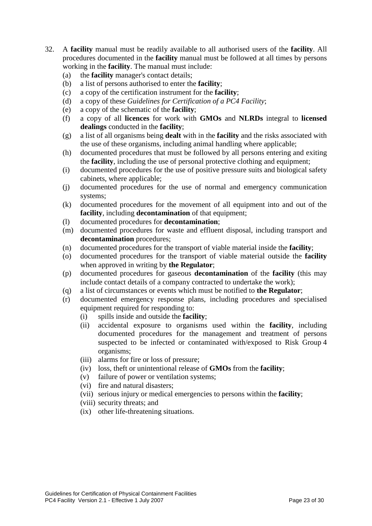- <span id="page-22-0"></span>32. A **facility** manual must be readily available to all authorised users of the **facility**. All procedures documented in the **facility** manual must be followed at all times by persons working in the **facility**. The manual must include:
	- (a) the **facility** manager's contact details;
	- (b) a list of persons authorised to enter the **facility**;
	- (c) a copy of the certification instrument for the **facility**;
	- (d) a copy of these *Guidelines for Certification of a PC4 Facility*;
	- (e) a copy of the schematic of the **facility**;
	- (f) a copy of all **licences** for work with **GMOs** and **NLRDs** integral to **licensed dealings** conducted in the **facility**;
	- (g) a list of all organisms being **dealt** with in the **facility** and the risks associated with the use of these organisms, including animal handling where applicable;
	- (h) documented procedures that must be followed by all persons entering and exiting the **facility**, including the use of personal protective clothing and equipment;
	- (i) documented procedures for the use of positive pressure suits and biological safety cabinets, where applicable;
	- (j) documented procedures for the use of normal and emergency communication systems;
	- (k) documented procedures for the movement of all equipment into and out of the **facility**, including **decontamination** of that equipment;
	- (l) documented procedures for **decontamination**;
	- (m) documented procedures for waste and effluent disposal, including transport and **decontamination** procedures;
	- (n) documented procedures for the transport of viable material inside the **facility**;
	- (o) documented procedures for the transport of viable material outside the **facility**  when approved in writing by **the Regulator**;
	- (p) documented procedures for gaseous **decontamination** of the **facility** (this may include contact details of a company contracted to undertake the work);
	- (q) a list of circumstances or events which must be notified to **the Regulator**;
	- (r) documented emergency response plans, including procedures and specialised equipment required for responding to:
		- (i) spills inside and outside the **facility**;
		- (ii) accidental exposure to organisms used within the **facility**, including documented procedures for the management and treatment of persons suspected to be infected or contaminated with/exposed to Risk Group 4 organisms;
		- (iii) alarms for fire or loss of pressure;
		- (iv) loss, theft or unintentional release of **GMOs** from the **facility**;
		- (v) failure of power or ventilation systems;
		- (vi) fire and natural disasters;
		- (vii) serious injury or medical emergencies to persons within the **facility**;
		- (viii) security threats; and
		- (ix) other life-threatening situations.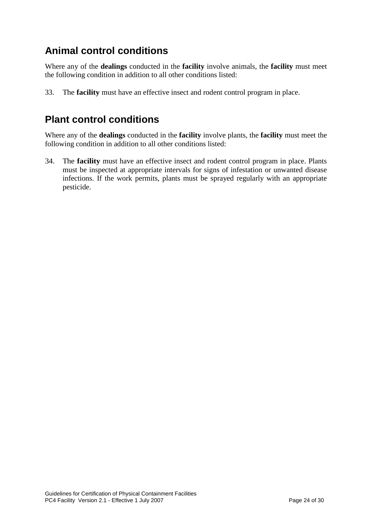## **Animal control conditions**

Where any of the **dealings** conducted in the **facility** involve animals, the **facility** must meet the following condition in addition to all other conditions listed:

33. The **facility** must have an effective insect and rodent control program in place.

### **Plant control conditions**

Where any of the **dealings** conducted in the **facility** involve plants, the **facility** must meet the following condition in addition to all other conditions listed:

34. The **facility** must have an effective insect and rodent control program in place. Plants must be inspected at appropriate intervals for signs of infestation or unwanted disease infections. If the work permits, plants must be sprayed regularly with an appropriate pesticide.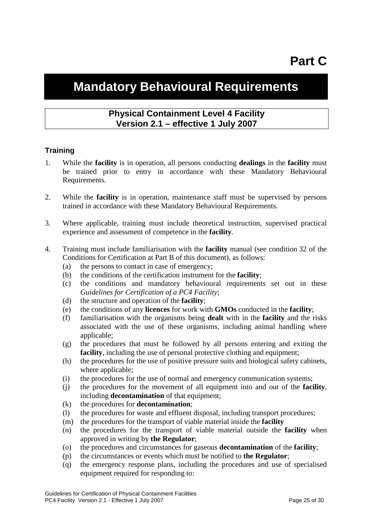## <span id="page-24-0"></span>**Mandatory Behavioural Requirements**

#### **Physical Containment Level 4 Facility Version 2.1 – effective 1 July 2007**

#### **Training**

- 1. While the **facility** is in operation, all persons conducting **dealings** in the **facility** must be trained prior to entry in accordance with these Mandatory Behavioural Requirements.
- 2. While the **facility** is in operation, maintenance staff must be supervised by persons trained in accordance with these Mandatory Behavioural Requirements.
- 3. Where applicable, training must include theoretical instruction, supervised practical experience and assessment of competence in the **facility**.
- 4. Training must include familiarisation with the **facility** manual (see condition [32](#page-22-0) of the Conditions for Certification at Part B of this document), as follows:
	- (a) the persons to contact in case of emergency;
	- (b) the conditions of the certification instrument for the **facility**;
	- (c) the conditions and mandatory behavioural requirements set out in these *Guidelines for Certification of a PC4 Facility*;
	- (d) the structure and operation of the **facility**;
	- (e) the conditions of any **licences** for work with **GMOs** conducted in the **facility**;
	- (f) familiarisation with the organisms being **dealt** with in the **facility** and the risks associated with the use of these organisms, including animal handling where applicable;
	- (g) the procedures that must be followed by all persons entering and exiting the **facility**, including the use of personal protective clothing and equipment;
	- (h) the procedures for the use of positive pressure suits and biological safety cabinets, where applicable;
	- (i) the procedures for the use of normal and emergency communication systems;
	- (j) the procedures for the movement of all equipment into and out of the **facility**, including **decontamination** of that equipment;
	- (k) the procedures for **decontamination**;
	- (l) the procedures for waste and effluent disposal, including transport procedures;
	- (m) the procedures for the transport of viable material inside the **facility**
	- (n) the procedures for the transport of viable material outside the **facility** when approved in writing by **the Regulator**;
	- (o) the procedures and circumstances for gaseous **decontamination** of the **facility**;
	- (p) the circumstances or events which must be notified to **the Regulator**;
	- (q) the emergency response plans, including the procedures and use of specialised equipment required for responding to: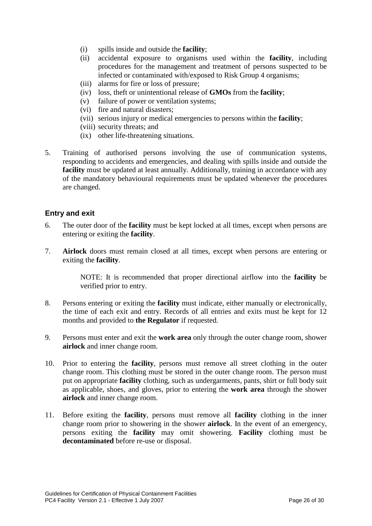- (i) spills inside and outside the **facility**;
- (ii) accidental exposure to organisms used within the **facility**, including procedures for the management and treatment of persons suspected to be infected or contaminated with/exposed to Risk Group 4 organisms;
- (iii) alarms for fire or loss of pressure;
- (iv) loss, theft or unintentional release of **GMOs** from the **facility**;
- (v) failure of power or ventilation systems;
- (vi) fire and natural disasters;
- (vii) serious injury or medical emergencies to persons within the **facility**;
- (viii) security threats; and
- (ix) other life-threatening situations.
- 5. Training of authorised persons involving the use of communication systems, responding to accidents and emergencies, and dealing with spills inside and outside the **facility** must be updated at least annually. Additionally, training in accordance with any of the mandatory behavioural requirements must be updated whenever the procedures are changed.

#### **Entry and exit**

- 6. The outer door of the **facility** must be kept locked at all times, except when persons are entering or exiting the **facility**.
- 7. **Airlock** doors must remain closed at all times, except when persons are entering or exiting the **facility**.

NOTE: It is recommended that proper directional airflow into the **facility** be verified prior to entry.

- 8. Persons entering or exiting the **facility** must indicate, either manually or electronically, the time of each exit and entry. Records of all entries and exits must be kept for 12 months and provided to **the Regulator** if requested.
- <span id="page-25-0"></span>9. Persons must enter and exit the **work area** only through the outer change room, shower **airlock** and inner change room.
- 10. Prior to entering the **facility**, persons must remove all street clothing in the outer change room. This clothing must be stored in the outer change room. The person must put on appropriate **facility** clothing, such as undergarments, pants, shirt or full body suit as applicable, shoes, and gloves, prior to entering the **work area** through the shower **airlock** and inner change room.
- 11. Before exiting the **facility**, persons must remove all **facility** clothing in the inner change room prior to showering in the shower **airlock**. In the event of an emergency, persons exiting the **facility** may omit showering. **Facility** clothing must be **decontaminated** before re-use or disposal.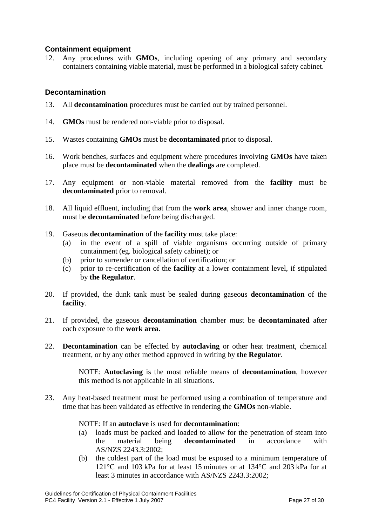#### **Containment equipment**

12. Any procedures with **GMOs**, including opening of any primary and secondary containers containing viable material, must be performed in a biological safety cabinet.

#### **Decontamination**

- 13. All **decontamination** procedures must be carried out by trained personnel.
- 14. **GMOs** must be rendered non-viable prior to disposal.
- 15. Wastes containing **GMOs** must be **decontaminated** prior to disposal.
- 16. Work benches, surfaces and equipment where procedures involving **GMOs** have taken place must be **decontaminated** when the **dealings** are completed.
- 17. Any equipment or non-viable material removed from the **facility** must be **decontaminated** prior to removal.
- 18. All liquid effluent, including that from the **work area**, shower and inner change room, must be **decontaminated** before being discharged.
- 19. Gaseous **decontamination** of the **facility** must take place:
	- (a) in the event of a spill of viable organisms occurring outside of primary containment (eg. biological safety cabinet); or
	- (b) prior to surrender or cancellation of certification; or
	- (c) prior to re-certification of the **facility** at a lower containment level, if stipulated by **the Regulator**.
- 20. If provided, the dunk tank must be sealed during gaseous **decontamination** of the **facility**.
- 21. If provided, the gaseous **decontamination** chamber must be **decontaminated** after each exposure to the **work area**.
- 22. **Decontamination** can be effected by **autoclaving** or other heat treatment, chemical treatment, or by any other method approved in writing by **the Regulator**.

NOTE: **Autoclaving** is the most reliable means of **decontamination**, however this method is not applicable in all situations.

23. Any heat-based treatment must be performed using a combination of temperature and time that has been validated as effective in rendering the **GMOs** non-viable.

#### NOTE: If an **autoclave** is used for **decontamination**:

- (a) loads must be packed and loaded to allow for the penetration of steam into the material being **decontaminated** in accordance with AS/NZS 2243.3:2002;
- (b) the coldest part of the load must be exposed to a minimum temperature of 121°C and 103 kPa for at least 15 minutes or at 134°C and 203 kPa for at least 3 minutes in accordance with AS/NZS 2243.3:2002;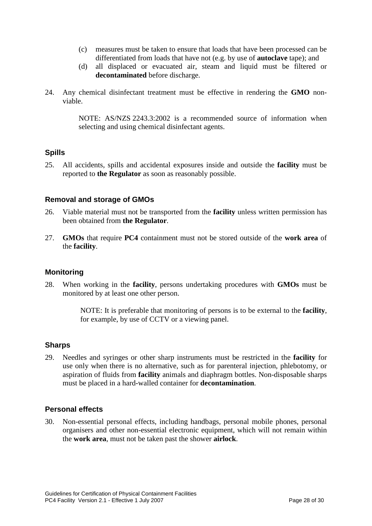- (c) measures must be taken to ensure that loads that have been processed can be differentiated from loads that have not (e.g. by use of **autoclave** tape); and
- (d) all displaced or evacuated air, steam and liquid must be filtered or **decontaminated** before discharge.
- 24. Any chemical disinfectant treatment must be effective in rendering the **GMO** nonviable.

NOTE: AS/NZS 2243.3:2002 is a recommended source of information when selecting and using chemical disinfectant agents.

#### **Spills**

25. All accidents, spills and accidental exposures inside and outside the **facility** must be reported to **the Regulator** as soon as reasonably possible.

#### **Removal and storage of GMOs**

- 26. Viable material must not be transported from the **facility** unless written permission has been obtained from **the Regulator**.
- 27. **GMOs** that require **PC4** containment must not be stored outside of the **work area** of the **facility**.

#### **Monitoring**

28. When working in the **facility**, persons undertaking procedures with **GMOs** must be monitored by at least one other person.

> NOTE: It is preferable that monitoring of persons is to be external to the **facility**, for example, by use of CCTV or a viewing panel.

#### **Sharps**

29. Needles and syringes or other sharp instruments must be restricted in the **facility** for use only when there is no alternative, such as for parenteral injection, phlebotomy, or aspiration of fluids from **facility** animals and diaphragm bottles. Non-disposable sharps must be placed in a hard-walled container for **decontamination**.

#### **Personal effects**

30. Non-essential personal effects, including handbags, personal mobile phones, personal organisers and other non-essential electronic equipment, which will not remain within the **work area**, must not be taken past the shower **airlock**.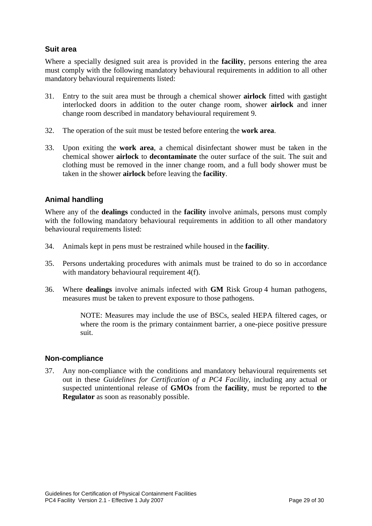#### **Suit area**

Where a specially designed suit area is provided in the **facility**, persons entering the area must comply with the following mandatory behavioural requirements in addition to all other mandatory behavioural requirements listed:

- 31. Entry to the suit area must be through a chemical shower **airlock** fitted with gastight interlocked doors in addition to the outer change room, shower **airlock** and inner change room described in mandatory behavioural requirement [9.](#page-25-0)
- 32. The operation of the suit must be tested before entering the **work area**.
- 33. Upon exiting the **work area**, a chemical disinfectant shower must be taken in the chemical shower **airlock** to **decontaminate** the outer surface of the suit. The suit and clothing must be removed in the inner change room, and a full body shower must be taken in the shower **airlock** before leaving the **facility**.

#### **Animal handling**

Where any of the **dealings** conducted in the **facility** involve animals, persons must comply with the following mandatory behavioural requirements in addition to all other mandatory behavioural requirements listed:

- 34. Animals kept in pens must be restrained while housed in the **facility**.
- 35. Persons undertaking procedures with animals must be trained to do so in accordance with mandatory behavioural requirement 4(f).
- 36. Where **dealings** involve animals infected with **GM** Risk Group 4 human pathogens, measures must be taken to prevent exposure to those pathogens.

NOTE: Measures may include the use of BSCs, sealed HEPA filtered cages, or where the room is the primary containment barrier, a one-piece positive pressure suit.

#### **Non-compliance**

37. Any non-compliance with the conditions and mandatory behavioural requirements set out in these *Guidelines for Certification of a PC4 Facility*, including any actual or suspected unintentional release of **GMOs** from the **facility**, must be reported to **the Regulator** as soon as reasonably possible.